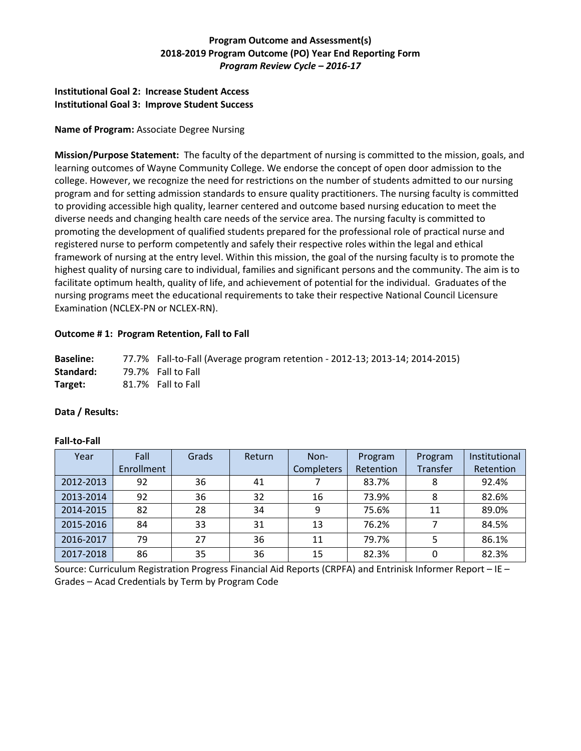# **Program Outcome and Assessment(s) 2018-2019 Program Outcome (PO) Year End Reporting Form** *Program Review Cycle – 2016-17*

### **Institutional Goal 2: Increase Student Access Institutional Goal 3: Improve Student Success**

### **Name of Program:** Associate Degree Nursing

**Mission/Purpose Statement:** The faculty of the department of nursing is committed to the mission, goals, and learning outcomes of Wayne Community College. We endorse the concept of open door admission to the college. However, we recognize the need for restrictions on the number of students admitted to our nursing program and for setting admission standards to ensure quality practitioners. The nursing faculty is committed to providing accessible high quality, learner centered and outcome based nursing education to meet the diverse needs and changing health care needs of the service area. The nursing faculty is committed to promoting the development of qualified students prepared for the professional role of practical nurse and registered nurse to perform competently and safely their respective roles within the legal and ethical framework of nursing at the entry level. Within this mission, the goal of the nursing faculty is to promote the highest quality of nursing care to individual, families and significant persons and the community. The aim is to facilitate optimum health, quality of life, and achievement of potential for the individual. Graduates of the nursing programs meet the educational requirements to take their respective National Council Licensure Examination (NCLEX-PN or NCLEX-RN).

# **Outcome # 1: Program Retention, Fall to Fall**

| <b>Baseline:</b> | 77.7% Fall-to-Fall (Average program retention - 2012-13; 2013-14; 2014-2015) |
|------------------|------------------------------------------------------------------------------|
| Standard:        | 79.7% Fall to Fall                                                           |
| Target:          | 81.7% Fall to Fall                                                           |

### **Data / Results:**

### **Fall-to-Fall**

| Year      | Fall       | Grads | Return | Non-              | Program   | Program  | Institutional |
|-----------|------------|-------|--------|-------------------|-----------|----------|---------------|
|           | Enrollment |       |        | <b>Completers</b> | Retention | Transfer | Retention     |
| 2012-2013 | 92         | 36    | 41     |                   | 83.7%     | 8        | 92.4%         |
| 2013-2014 | 92         | 36    | 32     | 16                | 73.9%     | 8        | 82.6%         |
| 2014-2015 | 82         | 28    | 34     | 9                 | 75.6%     | 11       | 89.0%         |
| 2015-2016 | 84         | 33    | 31     | 13                | 76.2%     |          | 84.5%         |
| 2016-2017 | 79         | 27    | 36     | 11                | 79.7%     |          | 86.1%         |
| 2017-2018 | 86         | 35    | 36     | 15                | 82.3%     | 0        | 82.3%         |

Source: Curriculum Registration Progress Financial Aid Reports (CRPFA) and Entrinisk Informer Report – IE – Grades – Acad Credentials by Term by Program Code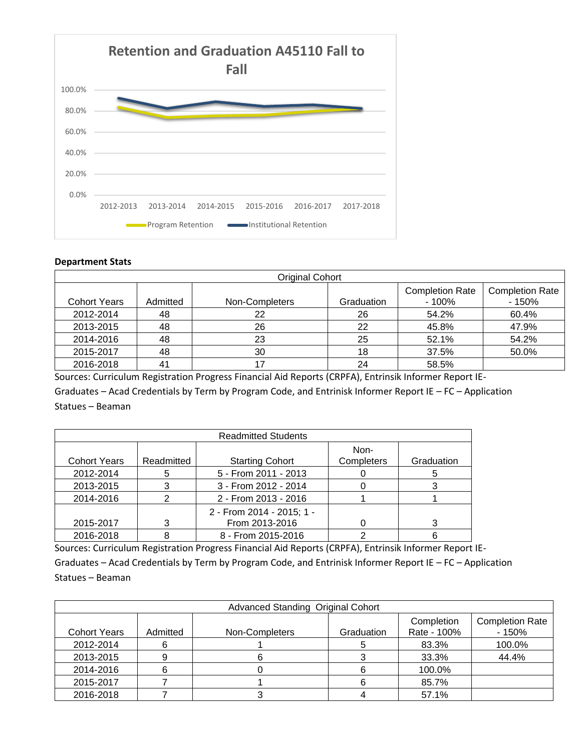

### **Department Stats**

| <b>Original Cohort</b> |          |                |            |                                  |                                   |  |
|------------------------|----------|----------------|------------|----------------------------------|-----------------------------------|--|
| <b>Cohort Years</b>    | Admitted | Non-Completers | Graduation | <b>Completion Rate</b><br>- 100% | <b>Completion Rate</b><br>$-150%$ |  |
| 2012-2014              | 48       | 22             | 26         | 54.2%                            | 60.4%                             |  |
| 2013-2015              | 48       | 26             | 22         | 45.8%                            | 47.9%                             |  |
| 2014-2016              | 48       | 23             | 25         | 52.1%                            | 54.2%                             |  |
| 2015-2017              | 48       | 30             | 18         | 37.5%                            | 50.0%                             |  |
| 2016-2018              | 41       | 17             | 24         | 58.5%                            |                                   |  |

Sources: Curriculum Registration Progress Financial Aid Reports (CRPFA), Entrinsik Informer Report IE-Graduates – Acad Credentials by Term by Program Code, and Entrinisk Informer Report IE – FC – Application Statues – Beaman

| <b>Readmitted Students</b> |            |                                             |                    |            |  |
|----------------------------|------------|---------------------------------------------|--------------------|------------|--|
| <b>Cohort Years</b>        | Readmitted | <b>Starting Cohort</b>                      | Non-<br>Completers | Graduation |  |
| 2012-2014                  | 5          | 5 - From 2011 - 2013                        |                    | 5          |  |
| 2013-2015                  | 3          | 3 - From 2012 - 2014                        |                    |            |  |
| 2014-2016                  | າ          | 2 - From 2013 - 2016                        |                    |            |  |
| 2015-2017                  | 3          | 2 - From 2014 - 2015; 1 -<br>From 2013-2016 |                    | 3          |  |
| 2016-2018                  |            | 8 - From 2015-2016                          |                    |            |  |

Sources: Curriculum Registration Progress Financial Aid Reports (CRPFA), Entrinsik Informer Report IE-

Graduates – Acad Credentials by Term by Program Code, and Entrinisk Informer Report IE – FC – Application Statues – Beaman

| Advanced Standing Original Cohort |          |                |            |                           |                                   |  |  |
|-----------------------------------|----------|----------------|------------|---------------------------|-----------------------------------|--|--|
| <b>Cohort Years</b>               | Admitted | Non-Completers | Graduation | Completion<br>Rate - 100% | <b>Completion Rate</b><br>$-150%$ |  |  |
| 2012-2014                         | 6        |                |            | 83.3%                     | 100.0%                            |  |  |
| 2013-2015                         |          |                |            | 33.3%                     | 44.4%                             |  |  |
| 2014-2016                         |          |                |            | 100.0%                    |                                   |  |  |
| 2015-2017                         |          |                |            | 85.7%                     |                                   |  |  |
| 2016-2018                         |          |                |            | 57.1%                     |                                   |  |  |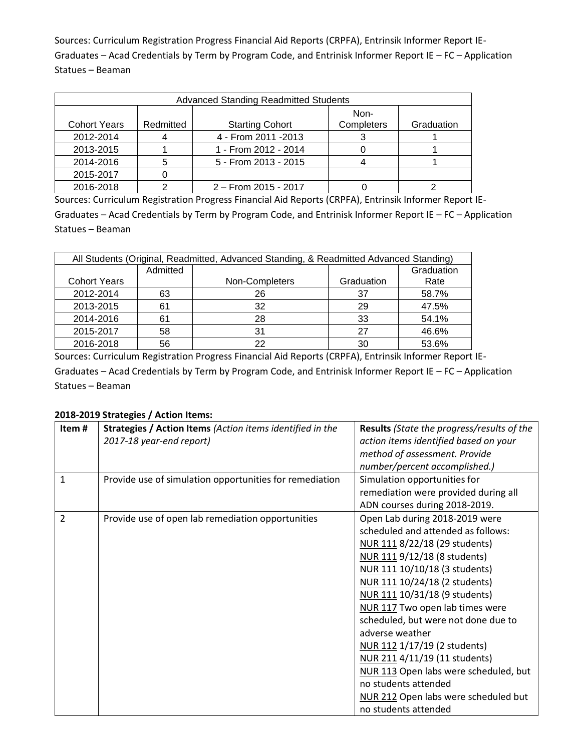Sources: Curriculum Registration Progress Financial Aid Reports (CRPFA), Entrinsik Informer Report IE-Graduates – Acad Credentials by Term by Program Code, and Entrinisk Informer Report IE – FC – Application Statues – Beaman

| <b>Advanced Standing Readmitted Students</b> |           |                        |                    |            |  |
|----------------------------------------------|-----------|------------------------|--------------------|------------|--|
| <b>Cohort Years</b>                          | Redmitted | <b>Starting Cohort</b> | Non-<br>Completers | Graduation |  |
| 2012-2014                                    |           | 4 - From 2011 - 2013   |                    |            |  |
| 2013-2015                                    |           | 1 - From 2012 - 2014   |                    |            |  |
| 2014-2016                                    |           | 5 - From 2013 - 2015   |                    |            |  |
| 2015-2017                                    |           |                        |                    |            |  |
| 2016-2018                                    |           | 2 – From 2015 - 2017   |                    |            |  |

Sources: Curriculum Registration Progress Financial Aid Reports (CRPFA), Entrinsik Informer Report IE-Graduates – Acad Credentials by Term by Program Code, and Entrinisk Informer Report IE – FC – Application Statues – Beaman

| All Students (Original, Readmitted, Advanced Standing, & Readmitted Advanced Standing) |          |                |            |            |
|----------------------------------------------------------------------------------------|----------|----------------|------------|------------|
|                                                                                        | Admitted |                |            | Graduation |
| <b>Cohort Years</b>                                                                    |          | Non-Completers | Graduation | Rate       |
| 2012-2014                                                                              | 63       | 26             | 37         | 58.7%      |
| 2013-2015                                                                              | 61       | 32             | 29         | 47.5%      |
| 2014-2016                                                                              | 61       | 28             | 33         | 54.1%      |
| 2015-2017                                                                              | 58       | 31             | 27         | 46.6%      |
| 2016-2018                                                                              | 56       |                | 30         | 53.6%      |

Sources: Curriculum Registration Progress Financial Aid Reports (CRPFA), Entrinsik Informer Report IE-Graduates – Acad Credentials by Term by Program Code, and Entrinisk Informer Report IE – FC – Application Statues – Beaman

# **2018-2019 Strategies / Action Items:**

| Item#          | Strategies / Action Items (Action items identified in the | <b>Results</b> (State the progress/results of the |
|----------------|-----------------------------------------------------------|---------------------------------------------------|
|                | 2017-18 year-end report)                                  | action items identified based on your             |
|                |                                                           |                                                   |
|                |                                                           | method of assessment. Provide                     |
|                |                                                           | number/percent accomplished.)                     |
| 1              | Provide use of simulation opportunities for remediation   | Simulation opportunities for                      |
|                |                                                           | remediation were provided during all              |
|                |                                                           | ADN courses during 2018-2019.                     |
| $\overline{2}$ | Provide use of open lab remediation opportunities         | Open Lab during 2018-2019 were                    |
|                |                                                           | scheduled and attended as follows:                |
|                |                                                           | NUR 111 8/22/18 (29 students)                     |
|                |                                                           | NUR 111 9/12/18 (8 students)                      |
|                |                                                           | NUR 111 10/10/18 (3 students)                     |
|                |                                                           | NUR 111 10/24/18 (2 students)                     |
|                |                                                           | NUR 111 10/31/18 (9 students)                     |
|                |                                                           | NUR 117 Two open lab times were                   |
|                |                                                           | scheduled, but were not done due to               |
|                |                                                           | adverse weather                                   |
|                |                                                           | NUR 112 1/17/19 (2 students)                      |
|                |                                                           | NUR 211 4/11/19 (11 students)                     |
|                |                                                           | NUR 113 Open labs were scheduled, but             |
|                |                                                           | no students attended                              |
|                |                                                           | NUR 212 Open labs were scheduled but              |
|                |                                                           | no students attended                              |